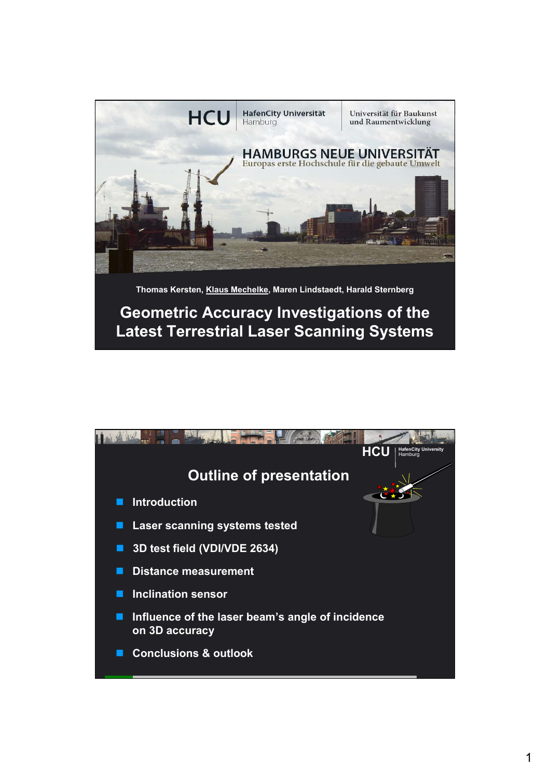

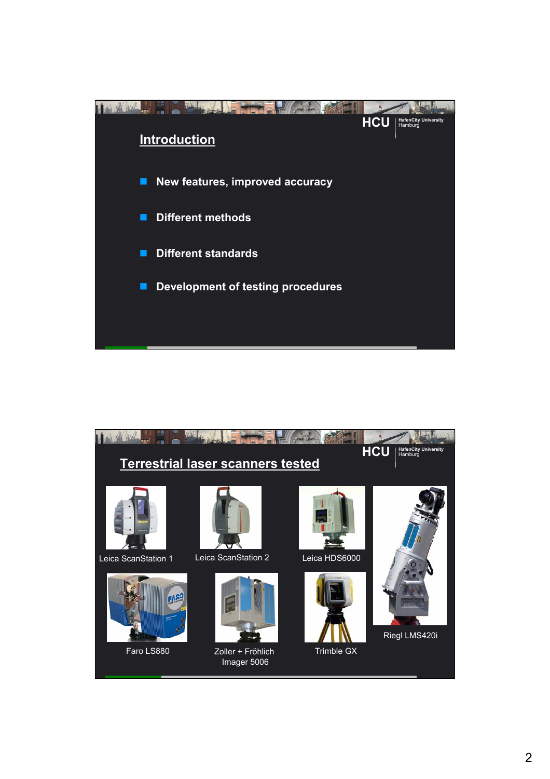

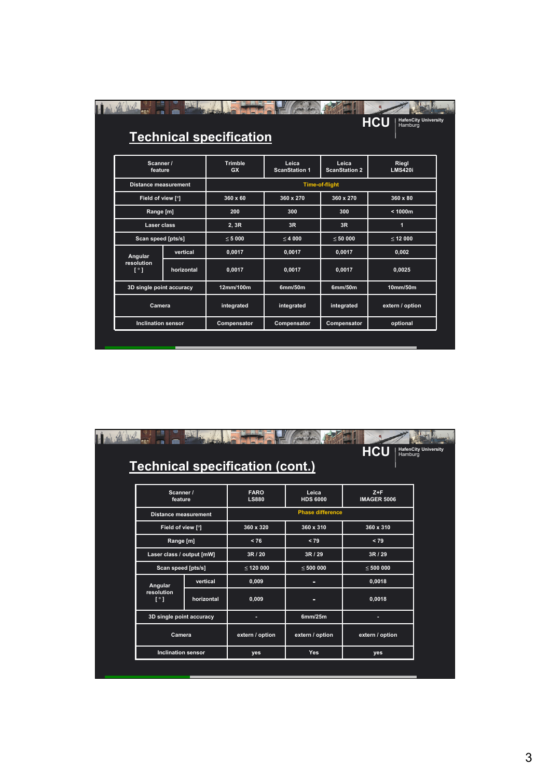| the solar                           |                          | <b>Technical specification</b> |                               |                               | <b>HafenCity University</b><br><b>HCU</b><br>Hamburg |  |  |  |  |
|-------------------------------------|--------------------------|--------------------------------|-------------------------------|-------------------------------|------------------------------------------------------|--|--|--|--|
| Scanner /<br>feature                |                          | <b>Trimble</b><br><b>GX</b>    | Leica<br><b>ScanStation 1</b> | Leica<br><b>ScanStation 2</b> | Riegl<br><b>LMS420i</b>                              |  |  |  |  |
| <b>Distance measurement</b>         |                          |                                | <b>Time-of-flight</b>         |                               |                                                      |  |  |  |  |
|                                     | Field of view [°]        |                                | 360 x 270                     | 360 x 270                     | 360 x 80                                             |  |  |  |  |
|                                     | Range [m]                |                                | 300                           | 300                           | < 1000m                                              |  |  |  |  |
|                                     | Laser class              |                                | 3R                            | 3R                            | 1                                                    |  |  |  |  |
|                                     | Scan speed [pts/s]       |                                | < 4000                        | < 50000                       | < 12000                                              |  |  |  |  |
| Angular                             | vertical                 | 0,0017                         | 0,0017                        | 0,0017                        | 0,002                                                |  |  |  |  |
| resolution<br>$\lceil \cdot \rceil$ | horizontal               | 0,0017                         | 0,0017                        | 0,0017                        | 0,0025                                               |  |  |  |  |
|                                     | 3D single point accuracy |                                | 6mm/50m                       | 6mm/50m                       | 10mm/50m                                             |  |  |  |  |
| Camera                              |                          | integrated                     | integrated                    | integrated                    | extern / option                                      |  |  |  |  |
| <b>Inclination sensor</b>           |                          | Compensator                    | Compensator                   | Compensator                   | optional                                             |  |  |  |  |

|                                                                                                |  |                                        |                          | <b>HafenCity University</b><br><b>HCU</b><br>Hamburg |  |  |  |
|------------------------------------------------------------------------------------------------|--|----------------------------------------|--------------------------|------------------------------------------------------|--|--|--|
|                                                                                                |  | <b>Technical specification (cont.)</b> |                          |                                                      |  |  |  |
| Scanner /<br>feature                                                                           |  | <b>FARO</b><br><b>LS880</b>            | Leica<br><b>HDS 6000</b> | $Z + F$<br><b>IMAGER 5006</b>                        |  |  |  |
| <b>Distance measurement</b>                                                                    |  |                                        | <b>Phase difference</b>  |                                                      |  |  |  |
| Field of view [°]                                                                              |  | 360 x 320                              | 360 x 310                | 360 x 310                                            |  |  |  |
| Range [m]                                                                                      |  | < 76                                   | < 79                     | < 79                                                 |  |  |  |
| Laser class / output [mW]                                                                      |  | 3R / 20                                | 3R / 29                  | 3R / 29                                              |  |  |  |
| Scan speed [pts/s]<br>vertical<br>Angular<br>resolution<br>$\lceil \cdot \rceil$<br>horizontal |  | $\leq$ 120 000                         | $\leq 500000$            | $\leq 500000$                                        |  |  |  |
|                                                                                                |  | 0,009                                  |                          | 0,0018                                               |  |  |  |
|                                                                                                |  | 0,009                                  |                          | 0,0018                                               |  |  |  |
| 3D single point accuracy                                                                       |  |                                        | 6mm/25m                  |                                                      |  |  |  |
| Camera<br><b>Inclination sensor</b>                                                            |  | extern / option                        | extern / option          | extern / option                                      |  |  |  |
|                                                                                                |  | yes                                    | <b>Yes</b>               | yes                                                  |  |  |  |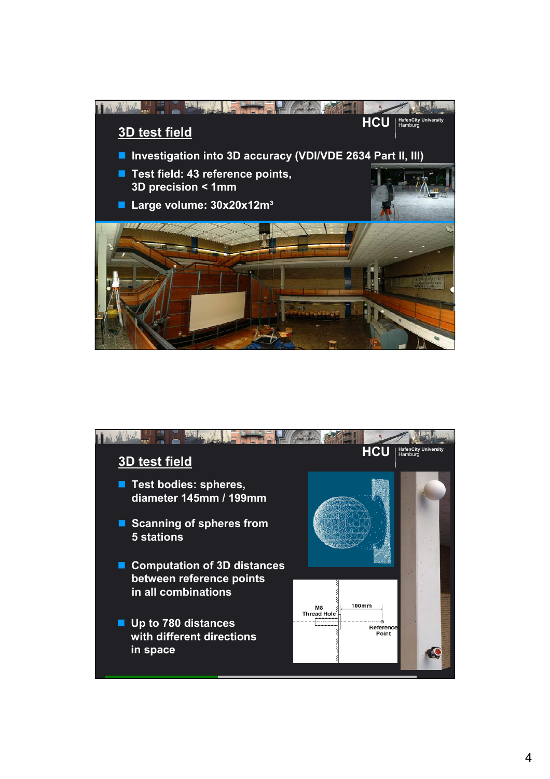

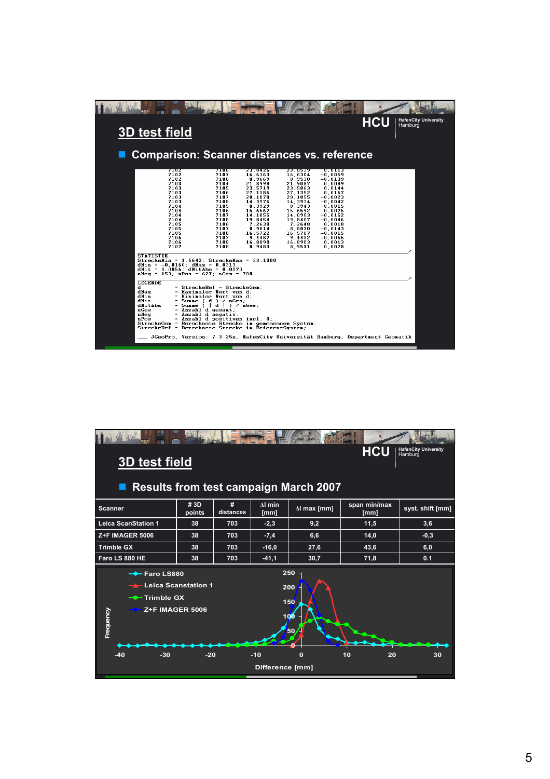|                                                                                                                                                                                                                                                                                                                                                                                                                                                                                                                                                      |                                                                                                                                                                                                                                                                                                                                                                                                                                                        |                                                                                                                                                                                                        |                                                                                                                                                                                                   |                                                                                                                                                                                                                 |            | <b>HafenCity University</b> |
|------------------------------------------------------------------------------------------------------------------------------------------------------------------------------------------------------------------------------------------------------------------------------------------------------------------------------------------------------------------------------------------------------------------------------------------------------------------------------------------------------------------------------------------------------|--------------------------------------------------------------------------------------------------------------------------------------------------------------------------------------------------------------------------------------------------------------------------------------------------------------------------------------------------------------------------------------------------------------------------------------------------------|--------------------------------------------------------------------------------------------------------------------------------------------------------------------------------------------------------|---------------------------------------------------------------------------------------------------------------------------------------------------------------------------------------------------|-----------------------------------------------------------------------------------------------------------------------------------------------------------------------------------------------------------------|------------|-----------------------------|
| <b>3D test field</b>                                                                                                                                                                                                                                                                                                                                                                                                                                                                                                                                 |                                                                                                                                                                                                                                                                                                                                                                                                                                                        |                                                                                                                                                                                                        |                                                                                                                                                                                                   |                                                                                                                                                                                                                 | <b>HCU</b> | Hamburg                     |
| <b>Comparison: Scanner distances vs. reference</b>                                                                                                                                                                                                                                                                                                                                                                                                                                                                                                   |                                                                                                                                                                                                                                                                                                                                                                                                                                                        |                                                                                                                                                                                                        |                                                                                                                                                                                                   |                                                                                                                                                                                                                 |            |                             |
| 7104<br>7102<br>7102<br>2103<br>7103<br>7103<br>7103<br>7103<br>7104<br>7104<br>7104<br>7104<br>7105<br>7105<br>7105<br>7106<br>7106<br>7107<br><b>STATISTIK</b><br>$Streckelfin = 1.5643$ ; StreckeMax = 33.1000<br>$d$ Min = $-0.0160$ ; $d$ Max = 0.0313<br>$d$ Mit = 0,0056; $d$ MitAbs = 0,0070<br>$n$ Neq = 153; $nPos = 627$ ; $nGes = 780$<br><b>LEGENDE</b><br>d<br>dllax<br>dlin<br>dHit<br>dlitabs<br>nGes<br>nNeg<br>nPos<br>StreckeGem = Berechnete Strecke im gemessenen System;<br>StreckeRef = Berechnete Strecke im ReferenzSystem: | 7106<br>7107<br>7108<br>7104<br>7105<br>7106<br>7107<br>7108<br>7105<br>7106<br>7107<br>7108<br>7106<br>7107<br>7108<br>7107<br>7108<br>7108<br>= StreckeRef - StreckeGem:<br>= Maximaler Vert von d:<br>= Minimaler Vert von d:<br>= Summe (d ) / nGes;<br>= Sunne $(   d   )$ / nGes;<br>= Anzahl d gesant;<br>= Anzahl d negativ;<br>= Anzahl d positiven incl. 0;<br>JGeoPro, Version: 7.3.25x, HafenCity Universität Hamburg, Department Geomatik | <b>25.000 EXT</b><br>16,6363<br>8.9669<br>21,8998<br>23.5719<br>27.1186<br>20,1078<br>14,3976<br>8,3929<br>15,6567<br>14,1055<br>19,8454<br>7,2638<br>8,9014<br>16,5722<br>9,4487<br>16,8890<br>8,9483 | 2000 US\$ 20<br>16,6304<br>8,9530<br>21,9087<br>23.5863<br>27.1352<br>20,1055<br>14,3934<br>8,3943<br>15,6592<br>14,0903<br>19,8407<br>7,2648<br>8,8870<br>16,5707<br>9,4432<br>16,8903<br>8,9511 | U. U. I. 3<br>$-0,0059$<br>$-0.0139$<br>0,0089<br>0.0144<br>0.0167<br>$-0.0023$<br>$-0.0042$<br>0,0015<br>0,0025<br>$-0.0152$<br>$-0.0046$<br>0,0010<br>$-0.0143$<br>$-0.0015$<br>$-0.0055$<br>0.0013<br>0.0028 |            |                             |
|                                                                                                                                                                                                                                                                                                                                                                                                                                                                                                                                                      |                                                                                                                                                                                                                                                                                                                                                                                                                                                        |                                                                                                                                                                                                        |                                                                                                                                                                                                   |                                                                                                                                                                                                                 |            |                             |

| <b>HafenCity University</b><br><b>HCU</b><br>Hamburg<br><b>3D</b> test field<br><b>Results from test campaign March 2007</b>                                       |               |                |                        |                     |                      |                  |  |  |
|--------------------------------------------------------------------------------------------------------------------------------------------------------------------|---------------|----------------|------------------------|---------------------|----------------------|------------------|--|--|
| <b>Scanner</b>                                                                                                                                                     | #3D<br>points | #<br>distances | $\Delta I$ min<br>[mm] | $\Delta I$ max [mm] | span min/max<br>[mm] | syst. shift [mm] |  |  |
| <b>Leica ScanStation 1</b>                                                                                                                                         | 38            | 703            | $-2,3$                 | 9,2                 | 11,5                 | 3,6              |  |  |
| Z+F IMAGER 5006                                                                                                                                                    | 38            | 703            | $-7,4$                 | 6,6                 | 14,0                 | $-0,3$           |  |  |
| <b>Trimble GX</b>                                                                                                                                                  | 38            | 703            | $-16,0$                | 27,6                | 43,6                 | 6,0              |  |  |
| Faro LS 880 HE                                                                                                                                                     | 38            | 703            | $-41,1$                | 30,7                | 71,8                 | 0.1              |  |  |
| 250<br>$\rightarrow$ Faro LS880<br><del>I</del> Leica Scanstation 1<br>200<br><del>–● T</del> rimble GX<br>150<br><b>Z+F IMAGER 5006</b><br>Frequency<br>100<br>50 |               |                |                        |                     |                      |                  |  |  |
| $-30$<br>$-40$                                                                                                                                                     | $-20$         |                | $-10$                  | $\mathbf{o}$        | 10<br>20             | 30               |  |  |
| Difference [mm]                                                                                                                                                    |               |                |                        |                     |                      |                  |  |  |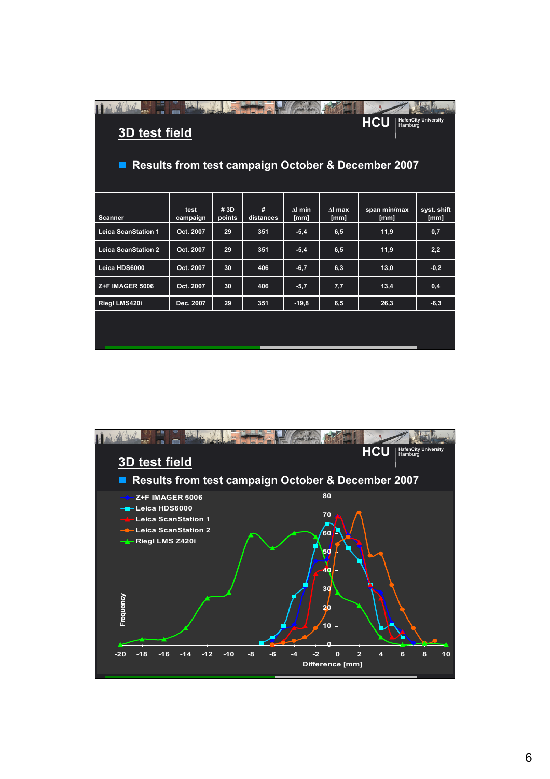| 1111<br><b>HafenCity University</b><br><b>HCU</b><br>Hamburg<br><b>3D test field</b><br><b>Results from test campaign October &amp; December 2007</b><br>■ |                  |               |                |                        |                       |                      |                     |  |  |
|------------------------------------------------------------------------------------------------------------------------------------------------------------|------------------|---------------|----------------|------------------------|-----------------------|----------------------|---------------------|--|--|
| <b>Scanner</b>                                                                                                                                             | test<br>campaign | #3D<br>points | #<br>distances | $\Delta I$ min<br>[mm] | $\Lambda$ max<br>[mm] | span min/max<br>[mm] | syst. shift<br>[mm] |  |  |
| <b>Leica ScanStation 1</b>                                                                                                                                 | Oct. 2007        | 29            | 351            | $-5,4$                 | 6,5                   | 11,9                 | 0,7                 |  |  |
| <b>Leica ScanStation 2</b>                                                                                                                                 | Oct. 2007        | 29            | 351            | $-5,4$                 | 6, 5                  | 11,9                 | 2,2                 |  |  |
| Leica HDS6000                                                                                                                                              | Oct. 2007        | 30            | 406            | $-6,7$                 | 6,3                   | 13,0                 | $-0,2$              |  |  |
| Z+F IMAGER 5006                                                                                                                                            | Oct. 2007        | 30            | 406            | $-5,7$                 | 7,7                   | 13,4                 | 0,4                 |  |  |
| Riegl LMS420i                                                                                                                                              | Dec. 2007        | 29            | 351            | $-19,8$                | 6, 5                  | 26,3                 | $-6,3$              |  |  |
|                                                                                                                                                            |                  |               |                |                        |                       |                      |                     |  |  |

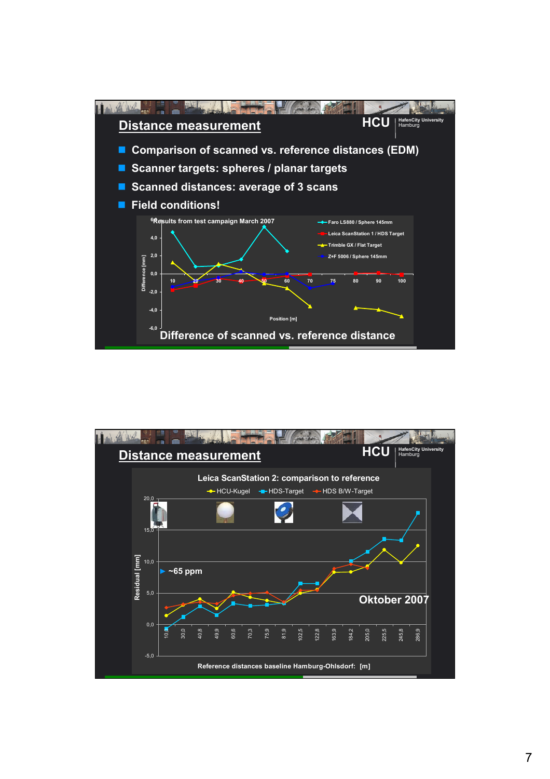

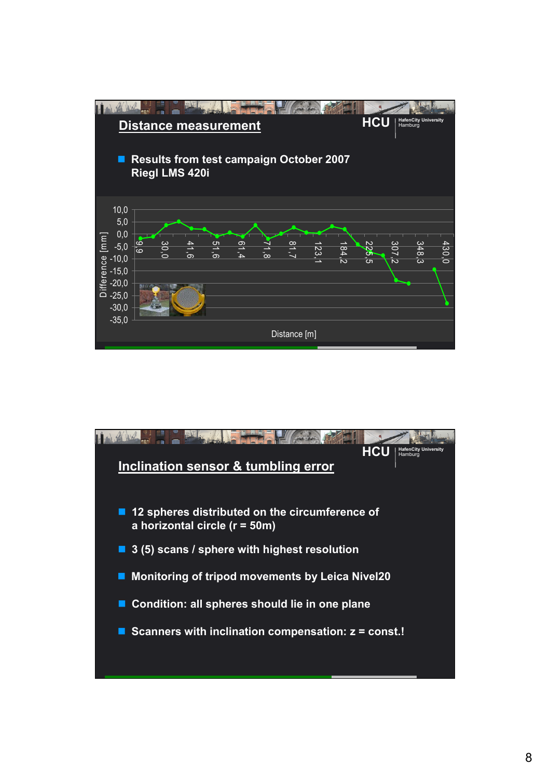

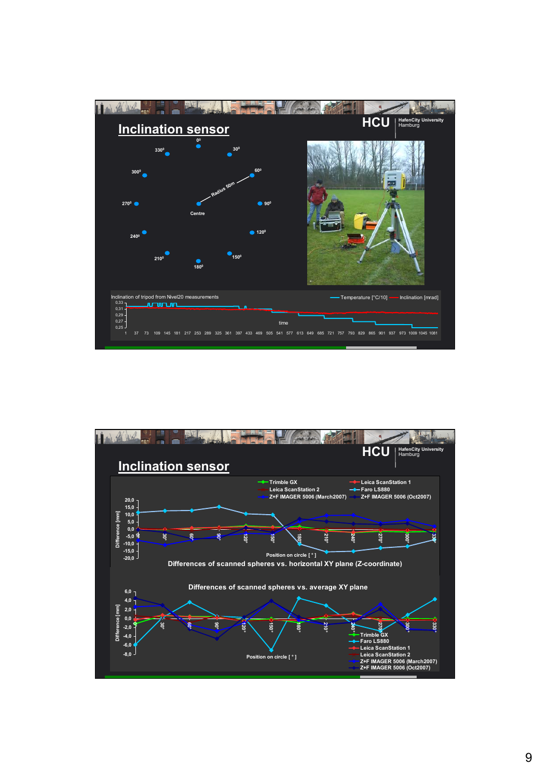

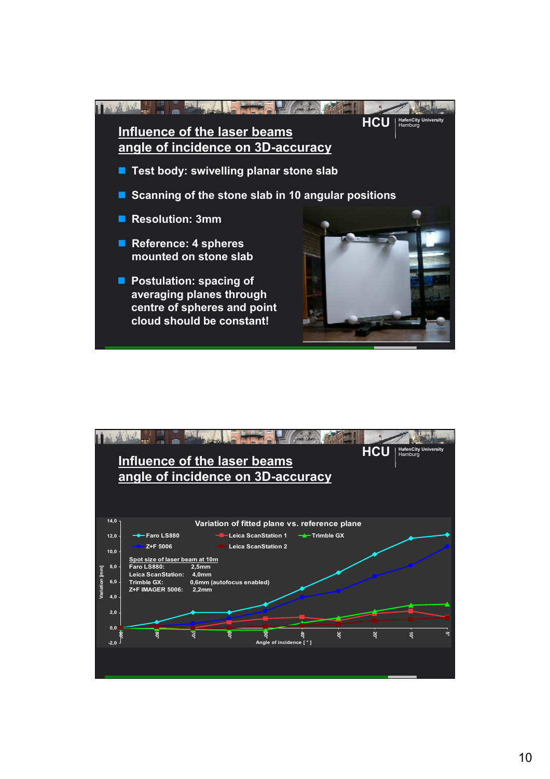